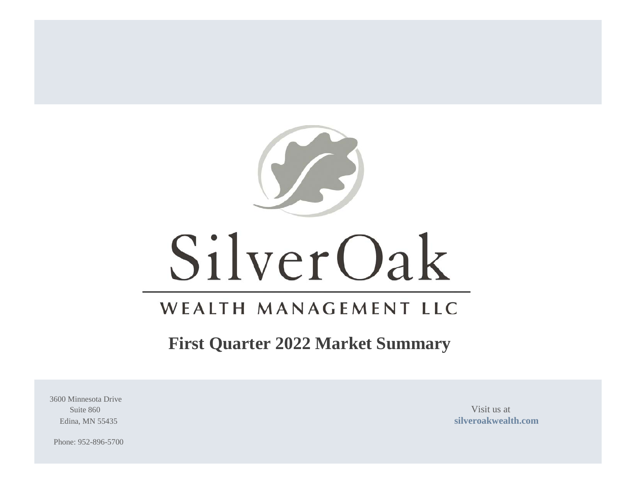

# SilverOak

## WEALTH MANAGEMENT LLC

### **First Quarter 2022 Market Summary**

3600 Minnesota Drive Suite 860 Visit us at

Edina, MN 55435 **[silveroakwealth.com](http://www.silveroakwealth.com/silveroakwealth.aspx)**

Phone: 952-896-5700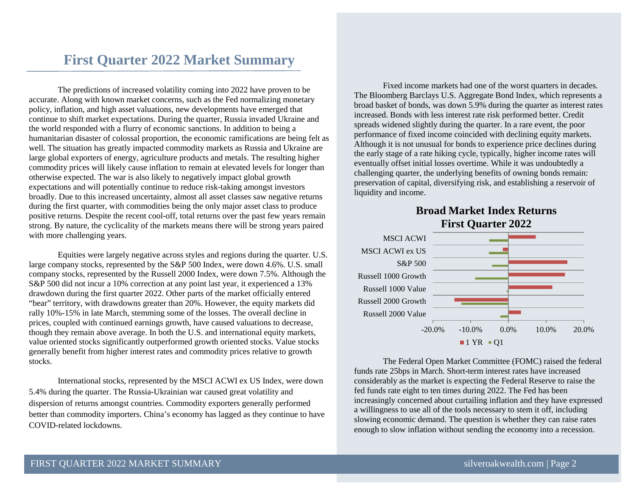### **First Quarter 2022 Market Summary**

The predictions of increased volatility coming into 2022 have proven to be accurate. Along with known market concerns, such as the Fed normalizing monetary policy, inflation, and high asset valuations, new developments have emerged that continue to shift market expectations. During the quarter, Russia invaded Ukraine and the world responded with a flurry of economic sanctions. In addition to being a humanitarian disaster of colossal proportion, the economic ramifications are being felt as well. The situation has greatly impacted commodity markets as Russia and Ukraine are large global exporters of energy, agriculture products and metals. The resulting higher commodity prices will likely cause inflation to remain at elevated levels for longer than otherwise expected. The war is also likely to negatively impact global growth expectations and will potentially continue to reduce risk-taking amongst investors broadly. Due to this increased uncertainty, almost all asset classes saw negative returns during the first quarter, with commodities being the only major asset class to produce positive returns. Despite the recent cool-off, total returns over the past few years remain strong. By nature, the cyclicality of the markets means there will be strong years paired with more challenging years.

Equities were largely negative across styles and regions during the quarter. U.S. large company stocks, represented by the S&P 500 Index, were down 4.6%. U.S. small company stocks, represented by the Russell 2000 Index, were down 7.5%. Although the S&P 500 did not incur a 10% correction at any point last year, it experienced a 13% drawdown during the first quarter 2022. Other parts of the market officially entered "bear" territory, with drawdowns greater than 20%. However, the equity markets did rally 10%-15% in late March, stemming some of the losses. The overall decline in prices, coupled with continued earnings growth, have caused valuations to decrease, though they remain above average. In both the U.S. and international equity markets, value oriented stocks significantly outperformed growth oriented stocks. Value stocks generally benefit from higher interest rates and commodity prices relative to growth stocks.

International stocks, represented by the MSCI ACWI ex US Index, were down 5.4% during the quarter. The Russia-Ukrainian war caused great volatility and dispersion of returns amongst countries. Commodity exporters generally performed better than commodity importers. China's economy has lagged as they continue to have COVID-related lockdowns.

Fixed income markets had one of the worst quarters in decades. The Bloomberg Barclays U.S. Aggregate Bond Index, which represents a broad basket of bonds, was down 5.9% during the quarter as interest rates increased. Bonds with less interest rate risk performed better. Credit spreads widened slightly during the quarter. In a rare event, the poor performance of fixed income coincided with declining equity markets. Although it is not unusual for bonds to experience price declines during the early stage of a rate hiking cycle, typically, higher income rates will eventually offset initial losses overtime. While it was undoubtedly a challenging quarter, the underlying benefits of owning bonds remain: preservation of capital, diversifying risk, and establishing a reservoir of liquidity and income.



**Broad Market Index Returns First Quarter 2022**

The Federal Open Market Committee (FOMC) raised the federal funds rate 25bps in March. Short-term interest rates have increased considerably as the market is expecting the Federal Reserve to raise the fed funds rate eight to ten times during 2022. The Fed has been increasingly concerned about curtailing inflation and they have expressed a willingness to use all of the tools necessary to stem it off, including slowing economic demand. The question is whether they can raise rates enough to slow inflation without sending the economy into a recession.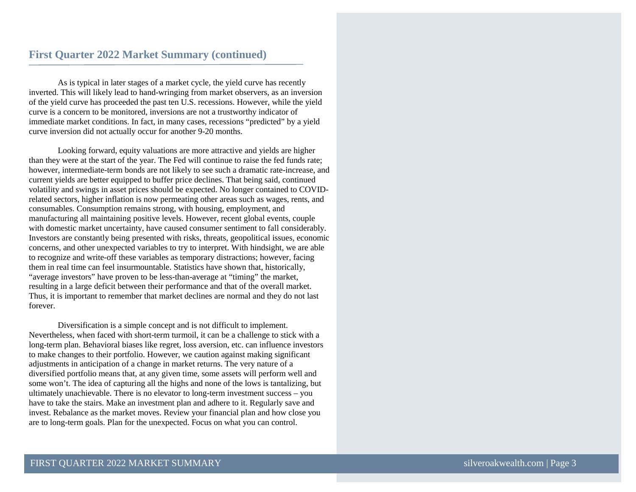As is typical in later stages of a market cycle, the yield curve has recently inverted. This will likely lead to hand-wringing from market observers, as an inversion of the yield curve has proceeded the past ten U.S. recessions. However, while the yield curve is a concern to be monitored, inversions are not a trustworthy indicator of immediate market conditions. In fact, in many cases, recessions "predicted" by a yield curve inversion did not actually occur for another 9-20 months.

Looking forward, equity valuations are more attractive and yields are higher than they were at the start of the year. The Fed will continue to raise the fed funds rate; however, intermediate-term bonds are not likely to see such a dramatic rate-increase, and current yields are better equipped to buffer price declines. That being said, continued volatility and swings in asset prices should be expected. No longer contained to COVIDrelated sectors, higher inflation is now permeating other areas such as wages, rents, and consumables. Consumption remains strong, with housing, employment, and manufacturing all maintaining positive levels. However, recent global events, couple with domestic market uncertainty, have caused consumer sentiment to fall considerably. Investors are constantly being presented with risks, threats, geopolitical issues, economic concerns, and other unexpected variables to try to interpret. With hindsight, we are able to recognize and write-off these variables as temporary distractions; however, facing them in real time can feel insurmountable. Statistics have shown that, historically, "average investors" have proven to be less-than-average at "timing" the market, resulting in a large deficit between their performance and that of the overall market. Thus, it is important to remember that market declines are normal and they do not last forever.

Diversification is a simple concept and is not difficult to implement. Nevertheless, when faced with short-term turmoil, it can be a challenge to stick with a long-term plan. Behavioral biases like regret, loss aversion, etc. can influence investors to make changes to their portfolio. However, we caution against making significant adjustments in anticipation of a change in market returns. The very nature of a diversified portfolio means that, at any given time, some assets will perform well and some won't. The idea of capturing all the highs and none of the lows is tantalizing, but ultimately unachievable. There is no elevator to long-term investment success – you have to take the stairs. Make an investment plan and adhere to it. Regularly save and invest. Rebalance as the market moves. Review your financial plan and how close you are to long-term goals. Plan for the unexpected. Focus on what you can control.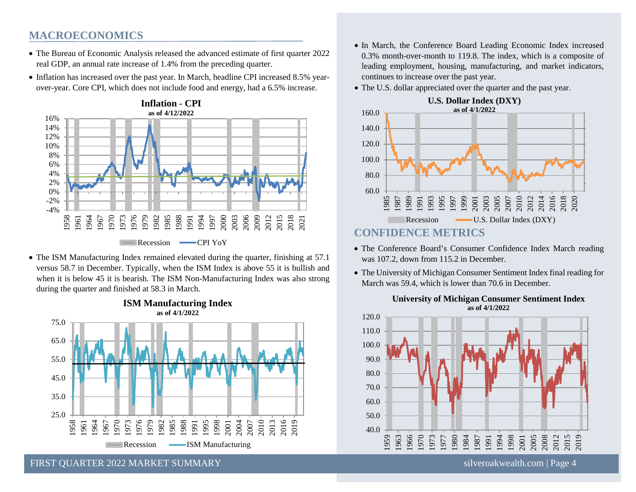### **MACROECONOMICS**

- The Bureau of Economic Analysis released the advanced estimate of first quarter 2022 real GDP, an annual rate increase of 1.4% from the preceding quarter.
- Inflation has increased over the past year. In March, headline CPI increased 8.5% yearover-year. Core CPI, which does not include food and energy, had a 6.5% increase.



• The ISM Manufacturing Index remained elevated during the quarter, finishing at 57.1 versus 58.7 in December. Typically, when the ISM Index is above 55 it is bullish and when it is below 45 it is bearish. The ISM Non-Manufacturing Index was also strong during the quarter and finished at 58.3 in March.



**ISM Manufacturing Index**

- In March, the Conference Board Leading Economic Index increased 0.3% month-over-month to 119.8. The index, which is a composite of leading employment, housing, manufacturing, and market indicators, continues to increase over the past year.
- The U.S. dollar appreciated over the quarter and the past year.



- The Conference Board's Consumer Confidence Index March reading was 107.2, down from 115.2 in December.
- The University of Michigan Consumer Sentiment Index final reading for March was 59.4, which is lower than 70.6 in December.



#### **University of Michigan Consumer Sentiment Index as of 4/1/2022**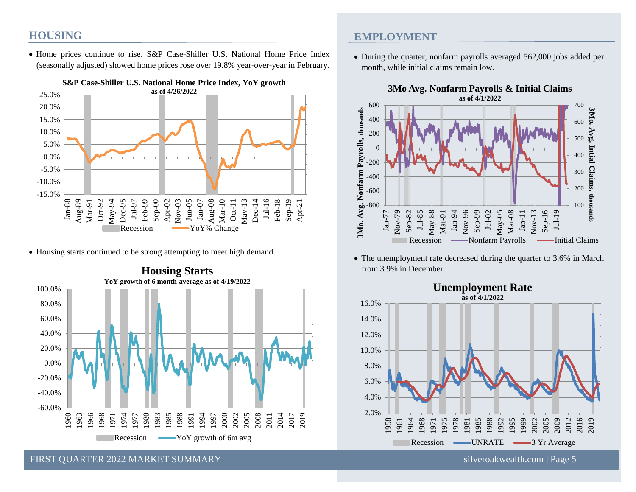### **HOUSING**

• Home prices continue to rise. S&P Case-Shiller U.S. National Home Price Index (seasonally adjusted) showed home prices rose over 19.8% year-over-year in February.



• Housing starts continued to be strong attempting to meet high demand.



### **Housing Starts**

FIRST QUARTER 2022 MARKET SUMMARY [silveroakwealth.com](http://www.silveroakwealth.com/silveroakwealth.aspx) | Page 5

### **EMPLOYMENT**

• During the quarter, nonfarm payrolls averaged 562,000 jobs added per month, while initial claims remain low.



• The unemployment rate decreased during the quarter to 3.6% in March from 3.9% in December.



# **Unemployment Rate**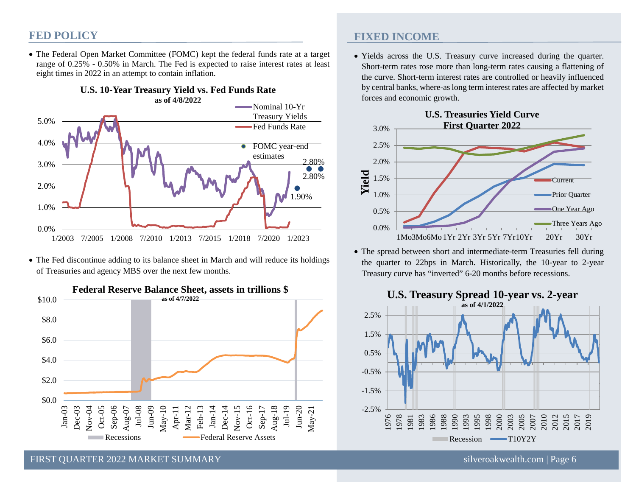### **FED POLICY**

• The Federal Open Market Committee (FOMC) kept the federal funds rate at a target range of 0.25% - 0.50% in March. The Fed is expected to raise interest rates at least eight times in 2022 in an attempt to contain inflation.



• The Fed discontinue adding to its balance sheet in March and will reduce its holdings of Treasuries and agency MBS over the next few months.



**FIXED INCOME**

• Yields across the U.S. Treasury curve increased during the quarter. Short-term rates rose more than long-term rates causing a flattening of the curve. Short-term interest rates are controlled or heavily influenced by central banks, where-as long term interest rates are affected by market forces and economic growth.



• The spread between short and intermediate-term Treasuries fell during the quarter to 22bps in March. Historically, the 10-year to 2-year Treasury curve has "inverted" 6-20 months before recessions.

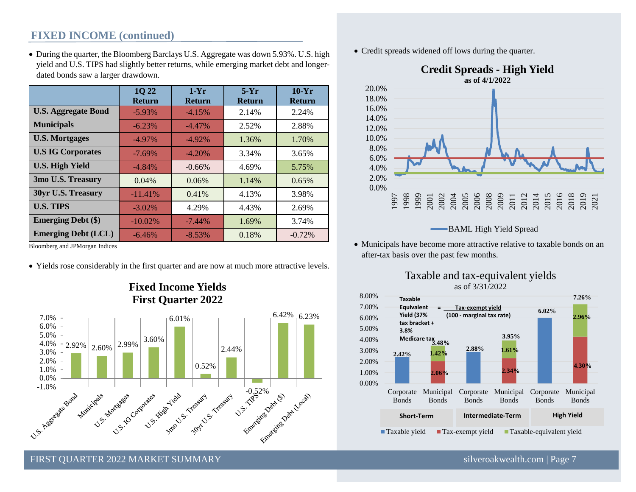### **FIXED INCOME (continued)**

• During the quarter, the Bloomberg Barclays U.S. Aggregate was down 5.93%. U.S. high yield and U.S. TIPS had slightly better returns, while emerging market debt and longerdated bonds saw a larger drawdown.

|                            | <b>1022</b><br><b>Return</b> | $1-Yr$<br><b>Return</b> | $5-Yr$<br><b>Return</b> | $10-Yr$<br><b>Return</b> |  |
|----------------------------|------------------------------|-------------------------|-------------------------|--------------------------|--|
| <b>U.S. Aggregate Bond</b> | $-5.93\%$                    | $-4.15%$                | 2.14%                   | 2.24%                    |  |
| <b>Municipals</b>          | $-6.23%$                     | $-4.47\%$               | 2.52%                   | 2.88%                    |  |
| <b>U.S. Mortgages</b>      | $-4.97\%$                    | $-4.92\%$               | 1.36%                   | 1.70%                    |  |
| <b>U.S IG Corporates</b>   | $-7.69%$                     | $-4.20%$                | 3.34%                   | 3.65%                    |  |
| <b>U.S. High Yield</b>     | $-4.84%$                     | $-0.66%$                | 4.69%                   | 5.75%                    |  |
| 3mo U.S. Treasury          | 0.04%                        | 0.06%                   | 1.14%                   | 0.65%                    |  |
| 30yr U.S. Treasury         | $-11.41%$                    | 0.41%                   | 4.13%                   | 3.98%                    |  |
| <b>U.S. TIPS</b>           | $-3.02\%$                    | 4.29%                   | 4.43%                   | 2.69%                    |  |
| <b>Emerging Debt</b> (\$)  | $-10.02\%$                   | $-7.44%$                | 1.69%                   | 3.74%                    |  |
| <b>Emerging Debt (LCL)</b> | $-6.46%$                     | $-8.53%$                | 0.18%                   | $-0.72%$                 |  |

Bloomberg and JPMorgan Indices

• Yields rose considerably in the first quarter and are now at much more attractive levels.



### **Fixed Income Yields First Quarter 2022**

• Credit spreads widened off lows during the quarter.



**BAML High Yield Spread** 

• Municipals have become more attractive relative to taxable bonds on an after-tax basis over the past few months.





FIRST QUARTER 2022 MARKET SUMMARY [silveroakwealth.com](http://www.silveroakwealth.com/silveroakwealth.aspx) | Page 7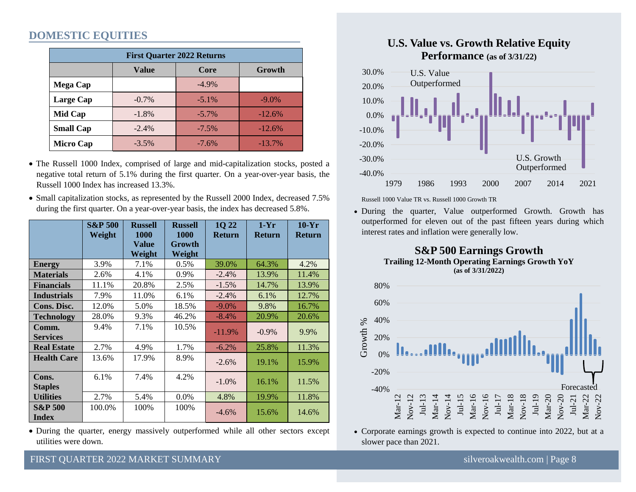### **DOMESTIC EQUITIES**

| <b>First Quarter 2022 Returns</b> |              |          |          |  |  |  |  |  |  |
|-----------------------------------|--------------|----------|----------|--|--|--|--|--|--|
|                                   | <b>Value</b> | Core     | Growth   |  |  |  |  |  |  |
| <b>Mega Cap</b>                   |              | $-4.9\%$ |          |  |  |  |  |  |  |
| Large Cap                         | $-0.7\%$     | $-5.1\%$ | $-9.0\%$ |  |  |  |  |  |  |
| Mid Cap                           | $-1.8%$      | $-5.7\%$ | $-12.6%$ |  |  |  |  |  |  |
| <b>Small Cap</b>                  | $-2.4%$      | $-7.5%$  | $-12.6%$ |  |  |  |  |  |  |
| <b>Micro Cap</b>                  | $-3.5%$      | $-7.6%$  | $-13.7%$ |  |  |  |  |  |  |

- The Russell 1000 Index, comprised of large and mid-capitalization stocks, posted a negative total return of 5.1% during the first quarter. On a year-over-year basis, the Russell 1000 Index has increased 13.3%.
- Small capitalization stocks, as represented by the Russell 2000 Index, decreased 7.5% during the first quarter. On a year-over-year basis, the index has decreased 5.8%.

|                                    | <b>S&amp;P 500</b><br>Weight | <b>Russell</b><br><b>1000</b> | <b>Russell</b><br><b>1000</b> | 1Q 22<br><b>Return</b> | $1-Yr$<br><b>Return</b> | $10-Yr$<br><b>Return</b> |
|------------------------------------|------------------------------|-------------------------------|-------------------------------|------------------------|-------------------------|--------------------------|
|                                    |                              | <b>Value</b><br>Weight        | Growth<br>Weight              |                        |                         |                          |
| <b>Energy</b>                      | 3.9%                         | 7.1%                          | 0.5%                          | 39.0%                  | 64.3%                   | 4.2%                     |
| <b>Materials</b>                   | 2.6%                         | 4.1%                          | 0.9%                          | $-2.4%$                | 13.9%                   | 11.4%                    |
| <b>Financials</b>                  | 11.1%                        | 20.8%                         | 2.5%                          | $-1.5\%$               | 14.7%                   | 13.9%                    |
| <b>Industrials</b>                 | 7.9%                         | 11.0%                         | 6.1%                          | $-2.4%$                | 6.1%                    | 12.7%                    |
| Cons. Disc.                        | 12.0%                        | 5.0%                          | 18.5%                         | $-9.0\%$               | 9.8%                    | 16.7%                    |
| <b>Technology</b>                  | 28.0%                        | 9.3%                          | 46.2%                         | $-8.4\%$               | 20.9%                   | 20.6%                    |
| Comm.                              | 9.4%                         | 7.1%                          | 10.5%                         | $-11.9\%$              | $-0.9\%$                | 9.9%                     |
| <b>Services</b>                    |                              |                               |                               |                        |                         |                          |
| <b>Real Estate</b>                 | 2.7%                         | 4.9%                          | 1.7%                          | $-6.2%$                | 25.8%                   | 11.3%                    |
| <b>Health Care</b>                 | 13.6%                        | 17.9%                         | 8.9%                          | $-2.6%$                | 19.1%                   | 15.9%                    |
| Cons.<br><b>Staples</b>            | 6.1%                         | 7.4%                          | 4.2%                          | $-1.0%$                | 16.1%                   | 11.5%                    |
| <b>Utilities</b>                   | 2.7%                         | 5.4%                          | 0.0%                          | 4.8%                   | 19.9%                   | 11.8%                    |
| <b>S&amp;P 500</b><br><b>Index</b> | 100.0%                       | 100%                          | 100%                          | $-4.6\%$               | 15.6%                   | 14.6%                    |

• During the quarter, energy massively outperformed while all other sectors except utilities were down.



### **U.S. Value vs. Growth Relative Equity Performance** (as of 3/31/22)



Russell 1000 Value TR vs. Russell 1000 Growth TR

 $\frac{1}{2}$ outperformed for eleven out of the past fifteen years during which • During the quarter, Value outperformed Growth. Growth has interest rates and inflation were generally low. the quarter, Value outperformed Growth. Growth has outperformed for eleven out of the past fifteen years during which interest rates and inflation were generally low.





• Corporate earnings growth is expected to continue into 2022, but at a slower pace than 2021. slower pace than  $2021$ .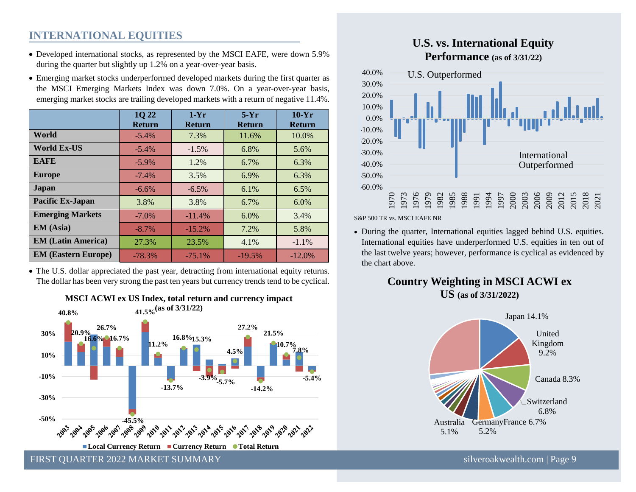### **INTERNATIONAL EQUITIES**

- Developed international stocks, as represented by the MSCI EAFE, were down 5.9% during the quarter but slightly up 1.2% on a year-over-year basis.
- Emerging market stocks underperformed developed markets during the first quarter as the MSCI Emerging Markets Index was down 7.0%. On a year-over-year basis, emerging market stocks are trailing developed markets with a return of negative 11.4%.

|                            | 1Q 22<br><b>Return</b> | $1-Yr$<br><b>Return</b> | $5-Yr$<br><b>Return</b> | $10-Yr$<br><b>Return</b> |
|----------------------------|------------------------|-------------------------|-------------------------|--------------------------|
| World                      | $-5.4\%$               | 7.3%                    | 11.6%                   | 10.0%                    |
| <b>World Ex-US</b>         | $-5.4%$                | $-1.5%$                 | 6.8%                    | 5.6%                     |
| <b>EAFE</b>                | $-5.9\%$               | 1.2%                    | 6.7%                    | 6.3%                     |
| <b>Europe</b>              | $-7.4%$                | 3.5%                    | 6.9%                    | 6.3%                     |
| Japan                      | $-6.6\%$               | $-6.5\%$                | $6.1\%$                 | 6.5%                     |
| Pacific Ex-Japan           | 3.8%                   | 3.8%                    | 6.7%                    | $6.0\%$                  |
| <b>Emerging Markets</b>    | $-7.0\%$               | $-11.4%$                | $6.0\%$                 | 3.4%                     |
| <b>EM</b> (Asia)           | $-8.7\%$               | $-15.2%$                | 7.2%                    | 5.8%                     |
| <b>EM</b> (Latin America)  | 27.3%                  | 23.5%                   | 4.1%                    | $-1.1%$                  |
| <b>EM (Eastern Europe)</b> | $-78.3%$               | $-75.1%$                | $-19.5%$                | $-12.0\%$                |

• The U.S. dollar appreciated the past year, detracting from international equity returns. The dollar has been very strong the past ten years but currency trends tend to be cyclical.





#### **U.S. vs. International Equity Performance (as of 3/31/22)**



S&P 500 TR vs. MSCI EAFE NR

• During the quarter, International equities lagged behind U.S. equities. International equities have underperformed U.S. equities in ten out of the last twelve years; however, performance is cyclical as evidenced by the chart above.

**Country Weighting in MSCI ACWI ex US (as of 3/31/2022)**



FIRST OUARTER 2022 MARKET SUMMARY SILVER AND SILVER SUMMARY SILVER SILVER SILVER SILVER SILVER SILVER SUMMARY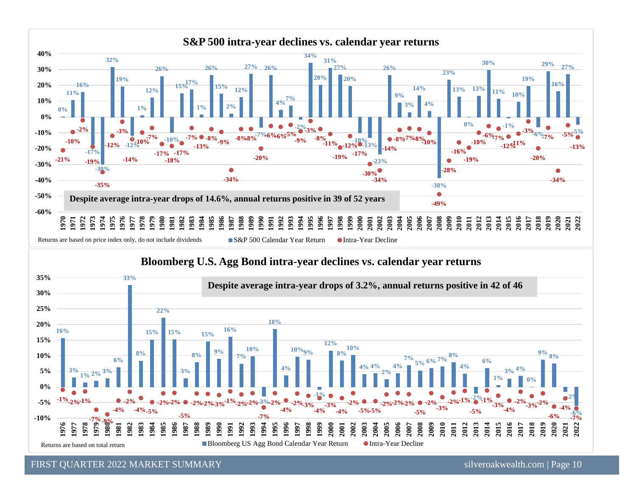



FIRST QUARTER 2022 MARKET SUMMARY [silveroakwealth.com](http://www.silveroakwealth.com/silveroakwealth.aspx) | Page 10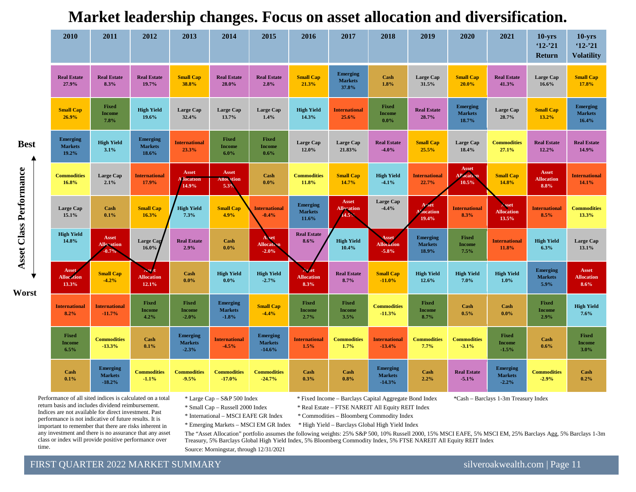| 2010                                       | 2011                                          | 2012                                       | 2013                                         | 2014                                         | 2015                                          | 2016                                       | 2017                                       | 2018                                          | 2019                                       | 2020                                       | 2021                                         | $10 - yrs$<br>$12 - 21$<br>Return         | $10 - yrs$<br>$'12 - '21$<br><b>Volatility</b> |
|--------------------------------------------|-----------------------------------------------|--------------------------------------------|----------------------------------------------|----------------------------------------------|-----------------------------------------------|--------------------------------------------|--------------------------------------------|-----------------------------------------------|--------------------------------------------|--------------------------------------------|----------------------------------------------|-------------------------------------------|------------------------------------------------|
| <b>Real Estate</b><br>27.9%                | <b>Real Estate</b><br>8.3%                    | <b>Real Estate</b><br>19.7%                | <b>Small Cap</b><br>38.8%                    | <b>Real Estate</b><br>28.0%                  | <b>Real Estate</b><br>2.8%                    | <b>Small Cap</b><br>21.3%                  | <b>Emerging</b><br><b>Markets</b><br>37.8% | Cash<br>1.8%                                  | Large Cap<br>31.5%                         | <b>Small Cap</b><br>20.0%                  | <b>Real Estate</b><br>41.3%                  | Large Cap<br>16.6%                        | <b>Small Cap</b><br>17.8%                      |
| <b>Small Cap</b><br>26.9%                  | <b>Fixed</b><br><b>Income</b><br>7.8%         | <b>High Yield</b><br>19.6%                 | <b>Large Cap</b><br>32.4%                    | Large Cap<br>13.7%                           | <b>Large Cap</b><br>1.4%                      | <b>High Yield</b><br>14.3%                 | <b>International</b><br>25.6%              | Fixed<br><b>Income</b><br>$0.0\%$             | <b>Real Estate</b><br>28.7%                | <b>Emerging</b><br><b>Markets</b><br>18.7% | <b>Large Cap</b><br>28.7%                    | <b>Small Cap</b><br>13.2%                 | <b>Emerging</b><br><b>Markets</b><br>16.4%     |
| <b>Emerging</b><br><b>Markets</b><br>19.2% | <b>High Yield</b><br>3.1%                     | <b>Emerging</b><br><b>Markets</b><br>18.6% | <b>International</b><br>23.3%                | Fixed<br><b>Income</b><br>$6.0\%$            | Fixed<br><b>Income</b><br>0.6%                | Large Cap<br>12.0%                         | Large Cap<br>21.83%                        | <b>Real Estate</b><br>$-4.0%$                 | <b>Small Cap</b><br>25.5%                  | Large Cap<br>18.4%                         | <b>Commodities</b><br>27.1%                  | <b>Real Estate</b><br>12.2%               | <b>Real Estate</b><br>14.9%                    |
| <b>Commodities</b><br>16.8%                | <b>Large Cap</b><br>2.1%                      | <b>International</b><br>17.9%              | <b>Asset</b><br><b>Mocation</b><br>14.9%     | <b>Asset</b><br><b>Allocation</b><br>5.3%    | Cash<br>$0.0\%$                               | <b>Commodities</b><br>11.8%                | <b>Small Cap</b><br>14.7%                  | <b>High Yield</b><br>$-4.1%$                  | <b>International</b><br>22.7%              | <b>Asset</b><br><b>Allocation</b><br>10.5% | <b>Small Cap</b><br>14.8%                    | <b>Asset</b><br><b>Allocation</b><br>8.8% | <b>International</b><br>14.1%                  |
| <b>Large Cap</b><br>15.1%                  | Cash<br>0.1%                                  | <b>Small Cap</b><br>16.3%                  | <b>High Yield</b><br>7.3%                    | <b>Small Cap</b><br>4.9%                     | <b>International</b><br>$-0.4%$               | <b>Emerging</b><br><b>Markets</b><br>11.6% | <b>Asset</b><br><b>Allocation</b><br>14.5% | Large Cap<br>$-4.4%$                          | Asset<br><b>location</b><br>19.4%          | <b>International</b><br>8.3%               | Asset<br><b>Allocation</b><br>13.5%          | <b>International</b><br>8.5%              | <b>Commodities</b><br>13.3%                    |
| <b>High Yield</b><br>14.8%                 | Asset<br><b>Allocation</b><br>0.7%            | Large Cap<br>16.0%                         | <b>Real Estate</b><br>2.9%                   | Cash<br>$0.0\%$                              | Asset<br><b>Allocation</b><br>$-2.0%$         | <b>Real Estate</b><br>8.6%                 | <b>High Yield</b><br>10.4%                 | <b>Asset</b><br><b>Allocation</b><br>$-5.8%$  | <b>Emerging</b><br><b>Markets</b><br>18.9% | <b>Fixed</b><br><b>Income</b><br>7.5%      | <b>International</b><br>11.8%                | <b>High Yield</b><br>6.3%                 | Large Cap<br>13.1%                             |
| <b>Asset</b><br><b>Allocation</b><br>13.3% | <b>Small Cap</b><br>$-4.2%$                   | <b>Allocation</b><br>12.1%                 | Cash<br>$0.0\%$                              | <b>High Yield</b><br>$0.0\%$                 | <b>High Yield</b><br>$-2.7%$                  | <b>Allocation</b><br>8.3%                  | <b>Real Estate</b><br>8.7%                 | <b>Small Cap</b><br>$-11.0%$                  | <b>High Yield</b><br>12.6%                 | <b>High Yield</b><br>7.0%                  | <b>High Yield</b><br>$1.0\%$                 | <b>Emerging</b><br><b>Markets</b><br>5.9% | Asset<br><b>Allocation</b><br>8.6%             |
| <b>International</b><br>8.2%               | <b>International</b><br>$-11.7%$              | <b>Fixed</b><br><b>Income</b><br>4.2%      | Fixed<br><b>Income</b><br>$-2.0%$            | <b>Emerging</b><br><b>Markets</b><br>$-1.8%$ | <b>Small Cap</b><br>$-4.4%$                   | <b>Fixed</b><br><b>Income</b><br>2.7%      | Fixed<br><b>Income</b><br>3.5%             | <b>Commodities</b><br>$-11.3%$                | <b>Fixed</b><br>Income<br>8.7%             | Cash<br>0.5%                               | Cash<br>$0.0\%$                              | <b>Fixed</b><br><b>Income</b><br>2.9%     | <b>High Yield</b><br>7.6%                      |
| Fixed<br><b>Income</b><br>6.5%             | <b>Commodities</b><br>$-13.3%$                | Cash<br>0.1%                               | <b>Emerging</b><br><b>Markets</b><br>$-2.3%$ | <b>International</b><br>$-4.5%$              | <b>Emerging</b><br><b>Markets</b><br>$-14.6%$ | <b>International</b><br>1.5%               | <b>Commodities</b><br>1.7%                 | <b>International</b><br>$-13.4%$              | <b>Commodities</b><br>7.7%                 | <b>Commodities</b><br>$-3.1%$              | Fixed<br><b>Income</b><br>$-1.5%$            | <b>Cash</b><br>0.6%                       | <b>Fixed</b><br><b>Income</b><br>3.0%          |
| Cash<br>0.1%                               | <b>Emerging</b><br><b>Markets</b><br>$-18.2%$ | <b>Commodities</b><br>$-1.1%$              | <b>Commodities</b><br>$-9.5%$                | <b>Commodities</b><br>$-17.0%$               | <b>Commodities</b><br>$-24.7%$                | Cash<br>0.3%                               | Cash<br>0.8%                               | <b>Emerging</b><br><b>Markets</b><br>$-14.3%$ | Cash<br>2.2%                               | <b>Real Estate</b><br>$-5.1\%$             | <b>Emerging</b><br><b>Markets</b><br>$-2.2%$ | <b>Commodities</b><br>$-2.9%$             | Cash<br>0.2%                                   |

**Market leadership changes. Focus on asset allocation and diversification.**

Performance of all sited indices is calculated on a total return basis and includes dividend reimbursement. Indices are not available for direct investment. Past performance is not indicative of future results. It is important to remember that there are risks inherent in any investment and there is no assurance that any asset class or index will provide positive performance over time.

**Asset Class Performance**

Asset Class Performance

**Worst**

**Best**

\* Large Cap – S&P 500 Index \* Fixed Income – Barclays Capital Aggregate Bond Index \*Cash – Barclays 1-3m Treasury Index \* Small Cap – Russell 2000 Index \* Real Estate – FTSE NAREIT All Equity REIT Index

\* International – MSCI EAFE GR Index \* Commodities – Bloomberg Commodity Index

\* Emerging Markets – MSCI EM GR Index \* High Yield – Barclays Global High Yield Index

The "Asset Allocation" portfolio assumes the following weights: 25% S&P 500, 10% Russell 2000, 15% MSCI EAFE, 5% MSCI EM, 25% Barclays Agg, 5% Barclays 1-3m Treasury, 5% Barclays Global High Yield Index, 5% Bloomberg Commodity Index, 5% FTSE NAREIT All Equity REIT Index Source: Morningstar, through 12/31/2021